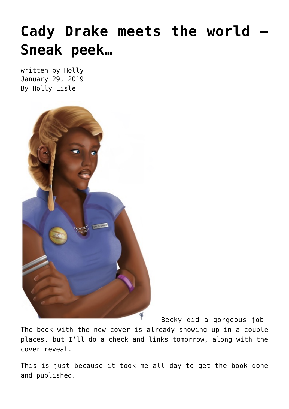# **[Cady Drake meets the world –](https://hollylisle.com/cady-drake-meets-the-world-sneak-peek/) [Sneak peek…](https://hollylisle.com/cady-drake-meets-the-world-sneak-peek/)**

written by Holly January 29, 2019 [By Holly Lisle](https://hollylisle.com)



Becky did a gorgeous job.

The book with the new cover is already showing up in a couple places, but I'll do a check and links tomorrow, along with the cover reveal.

This is just because it took me all day to get the book done and published.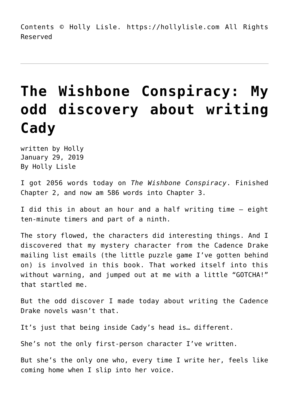Contents © Holly Lisle. <https://hollylisle.com> All Rights Reserved

# **[The Wishbone Conspiracy: My](https://hollylisle.com/the-wishbone-conspiracy-my-odd-discovery-about-writing-cady/) [odd discovery about writing](https://hollylisle.com/the-wishbone-conspiracy-my-odd-discovery-about-writing-cady/) [Cady](https://hollylisle.com/the-wishbone-conspiracy-my-odd-discovery-about-writing-cady/)**

written by Holly January 29, 2019 [By Holly Lisle](https://hollylisle.com)

I got 2056 words today on *The Wishbone Conspiracy*. Finished Chapter 2, and now am 586 words into Chapter 3.

I did this in about an hour and a half writing time — eight ten-minute timers and part of a ninth.

The story flowed, the characters did interesting things. And I discovered that my mystery character from the Cadence Drake mailing list emails (the little puzzle game I've gotten behind on) is involved in this book. That worked itself into this without warning, and jumped out at me with a little "GOTCHA!" that startled me.

But the odd discover I made today about writing the Cadence Drake novels wasn't that.

It's just that being inside Cady's head is… different.

She's not the only first-person character I've written.

But she's the only one who, every time I write her, feels like coming home when I slip into her voice.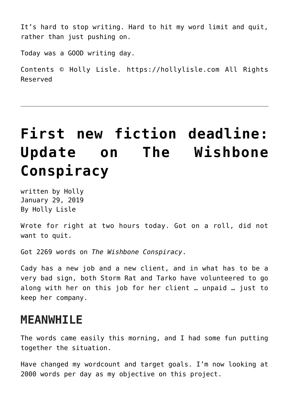It's hard to stop writing. Hard to hit my word limit and quit, rather than just pushing on.

Today was a GOOD writing day.

Contents © Holly Lisle. <https://hollylisle.com> All Rights Reserved

### **[First new fiction deadline:](https://hollylisle.com/first-new-fiction-deadline-update-on-the-wishbone-conspiracy/) [Update on The Wishbone](https://hollylisle.com/first-new-fiction-deadline-update-on-the-wishbone-conspiracy/) [Conspiracy](https://hollylisle.com/first-new-fiction-deadline-update-on-the-wishbone-conspiracy/)**

written by Holly January 29, 2019 [By Holly Lisle](https://hollylisle.com)

Wrote for right at two hours today. Got on a roll, did not want to quit.

Got 2269 words on *The Wishbone Conspiracy*.

Cady has a new job and a new client, and in what has to be a very bad sign, both Storm Rat and Tarko have volunteered to go along with her on this job for her client … unpaid … just to keep her company.

#### **MEANWHILE**

The words came easily this morning, and I had some fun putting together the situation.

Have changed my wordcount and target goals. I'm now looking at 2000 words per day as my objective on this project.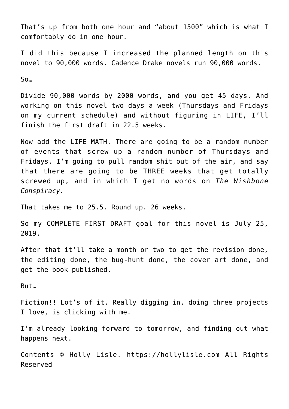That's up from both one hour and "about 1500" which is what I comfortably do in one hour.

I did this because I increased the planned length on this novel to 90,000 words. Cadence Drake novels run 90,000 words.

So…

Divide 90,000 words by 2000 words, and you get 45 days. And working on this novel two days a week (Thursdays and Fridays on my current schedule) and without figuring in LIFE, I'll finish the first draft in 22.5 weeks.

Now add the LIFE MATH. There are going to be a random number of events that screw up a random number of Thursdays and Fridays. I'm going to pull random shit out of the air, and say that there are going to be THREE weeks that get totally screwed up, and in which I get no words on *The Wishbone Conspiracy.*

That takes me to 25.5. Round up. 26 weeks.

So my COMPLETE FIRST DRAFT goal for this novel is July 25, 2019.

After that it'll take a month or two to get the revision done, the editing done, the bug-hunt done, the cover art done, and get the book published.

But…

Fiction!! Lot's of it. Really digging in, doing three projects I love, is clicking with me.

I'm already looking forward to tomorrow, and finding out what happens next.

Contents © Holly Lisle. <https://hollylisle.com> All Rights Reserved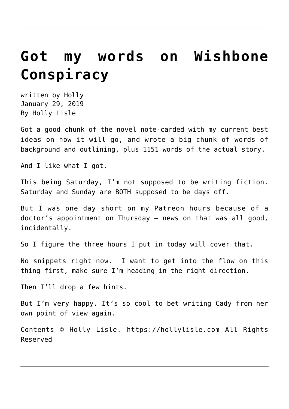### **[Got my words on Wishbone](https://hollylisle.com/got-my-words-on-wishbone-conspiracy/) [Conspiracy](https://hollylisle.com/got-my-words-on-wishbone-conspiracy/)**

written by Holly January 29, 2019 [By Holly Lisle](https://hollylisle.com)

Got a good chunk of the novel note-carded with my current best ideas on how it will go, and wrote a big chunk of words of background and outlining, plus 1151 words of the actual story.

And I like what I got.

This being Saturday, I'm not supposed to be writing fiction. Saturday and Sunday are BOTH supposed to be days off.

But I was one day short on my Patreon hours because of a doctor's appointment on Thursday — news on that was all good, incidentally.

So I figure the three hours I put in today will cover that.

No snippets right now. I want to get into the flow on this thing first, make sure I'm heading in the right direction.

Then I'll drop a few hints.

But I'm very happy. It's so cool to bet writing Cady from her own point of view again.

Contents © Holly Lisle. <https://hollylisle.com> All Rights Reserved